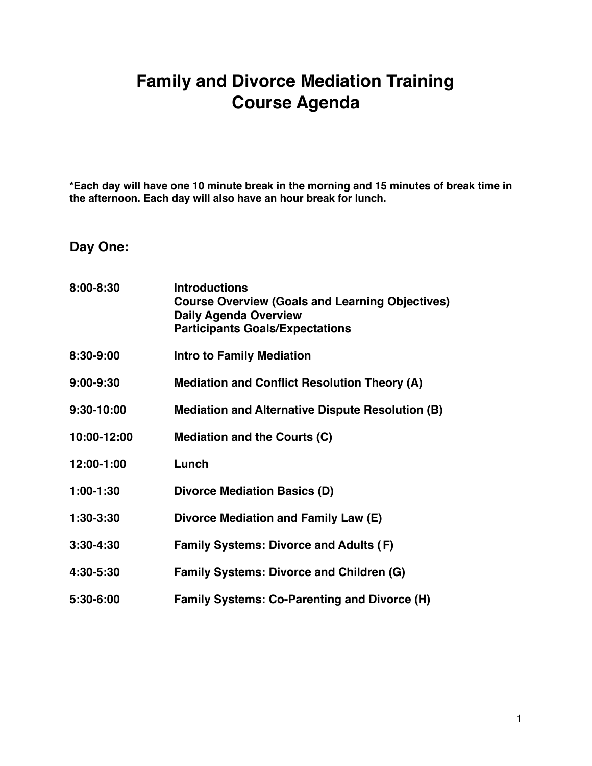## **Family and Divorce Mediation Training Course Agenda**

**\*Each day will have one 10 minute break in the morning and 15 minutes of break time in the afternoon. Each day will also have an hour break for lunch.** 

**Day One:**

| 8:00-8:30     | <b>Introductions</b><br><b>Course Overview (Goals and Learning Objectives)</b><br><b>Daily Agenda Overview</b><br><b>Participants Goals/Expectations</b> |
|---------------|----------------------------------------------------------------------------------------------------------------------------------------------------------|
| 8:30-9:00     | <b>Intro to Family Mediation</b>                                                                                                                         |
| 9:00-9:30     | <b>Mediation and Conflict Resolution Theory (A)</b>                                                                                                      |
| 9:30-10:00    | <b>Mediation and Alternative Dispute Resolution (B)</b>                                                                                                  |
| 10:00-12:00   | <b>Mediation and the Courts (C)</b>                                                                                                                      |
| 12:00-1:00    | Lunch                                                                                                                                                    |
| $1:00-1:30$   | <b>Divorce Mediation Basics (D)</b>                                                                                                                      |
| 1:30-3:30     | Divorce Mediation and Family Law (E)                                                                                                                     |
| $3:30 - 4:30$ | <b>Family Systems: Divorce and Adults (F)</b>                                                                                                            |
| 4:30-5:30     | <b>Family Systems: Divorce and Children (G)</b>                                                                                                          |
| 5:30-6:00     | <b>Family Systems: Co-Parenting and Divorce (H)</b>                                                                                                      |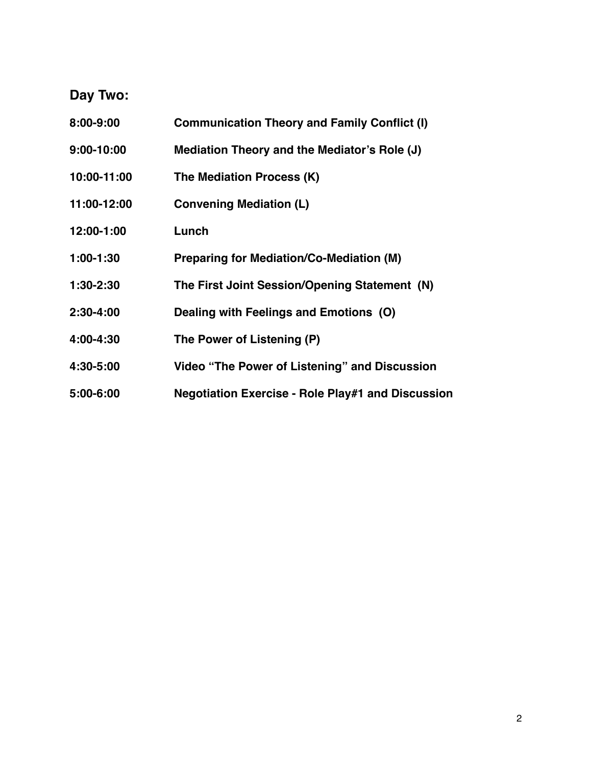## **Day Two:**

| 8:00-9:00   | <b>Communication Theory and Family Conflict (I)</b>      |
|-------------|----------------------------------------------------------|
| 9:00-10:00  | Mediation Theory and the Mediator's Role (J)             |
| 10:00-11:00 | The Mediation Process (K)                                |
| 11:00-12:00 | <b>Convening Mediation (L)</b>                           |
| 12:00-1:00  | Lunch                                                    |
| $1:00-1:30$ | <b>Preparing for Mediation/Co-Mediation (M)</b>          |
| 1:30-2:30   | The First Joint Session/Opening Statement (N)            |
| 2:30-4:00   | Dealing with Feelings and Emotions (O)                   |
| 4:00-4:30   | The Power of Listening (P)                               |
| 4:30-5:00   | Video "The Power of Listening" and Discussion            |
| 5:00-6:00   | <b>Negotiation Exercise - Role Play#1 and Discussion</b> |